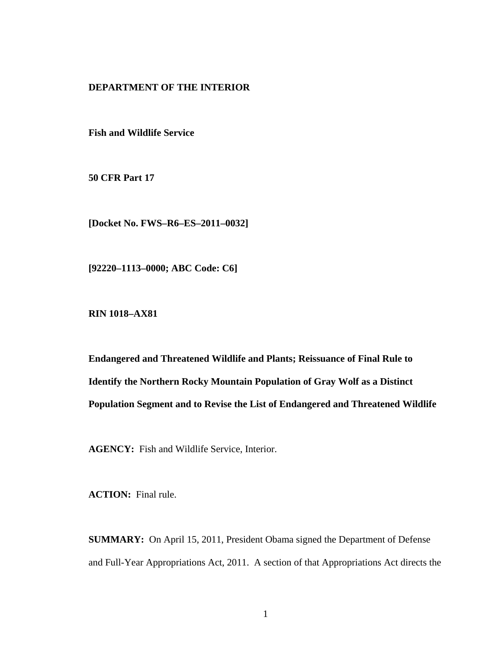# **DEPARTMENT OF THE INTERIOR**

**Fish and Wildlife Service** 

**50 CFR Part 17** 

**[Docket No. FWS–R6–ES–2011–0032]** 

**[92220–1113–0000; ABC Code: C6]** 

**RIN 1018–AX81** 

**Endangered and Threatened Wildlife and Plants; Reissuance of Final Rule to Identify the Northern Rocky Mountain Population of Gray Wolf as a Distinct Population Segment and to Revise the List of Endangered and Threatened Wildlife** 

**AGENCY:** Fish and Wildlife Service, Interior.

**ACTION:** Final rule.

**SUMMARY:** On April 15, 2011, President Obama signed the Department of Defense and Full-Year Appropriations Act, 2011. A section of that Appropriations Act directs the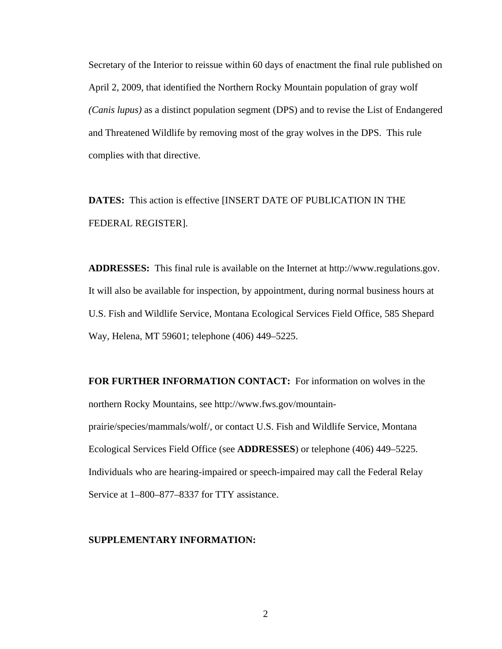Secretary of the Interior to reissue within 60 days of enactment the final rule published on April 2, 2009, that identified the Northern Rocky Mountain population of gray wolf *(Canis lupus)* as a distinct population segment (DPS) and to revise the List of Endangered and Threatened Wildlife by removing most of the gray wolves in the DPS. This rule complies with that directive.

**DATES:** This action is effective [INSERT DATE OF PUBLICATION IN THE FEDERAL REGISTER].

**ADDRESSES:** This final rule is available on the Internet at http://www.regulations.gov. It will also be available for inspection, by appointment, during normal business hours at U.S. Fish and Wildlife Service, Montana Ecological Services Field Office, 585 Shepard Way, Helena, MT 59601; telephone (406) 449–5225.

**FOR FURTHER INFORMATION CONTACT:** For information on wolves in the northern Rocky Mountains, see http://www.fws.gov/mountainprairie/species/mammals/wolf/, or contact U.S. Fish and Wildlife Service, Montana Ecological Services Field Office (see **ADDRESSES**) or telephone (406) 449–5225. Individuals who are hearing-impaired or speech-impaired may call the Federal Relay Service at 1–800–877–8337 for TTY assistance.

#### **SUPPLEMENTARY INFORMATION:**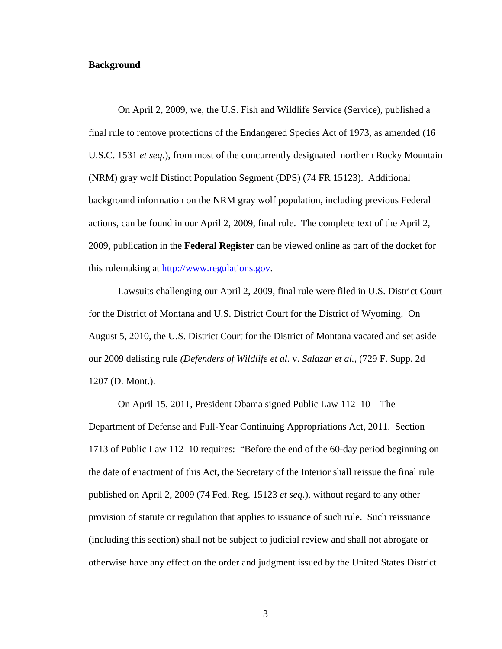### **Background**

On April 2, 2009, we, the U.S. Fish and Wildlife Service (Service), published a final rule to remove protections of the Endangered Species Act of 1973, as amended (16 U.S.C. 1531 *et seq*.), from most of the concurrently designated northern Rocky Mountain (NRM) gray wolf Distinct Population Segment (DPS) (74 FR 15123). Additional background information on the NRM gray wolf population, including previous Federal actions, can be found in our April 2, 2009, final rule. The complete text of the April 2, 2009, publication in the **Federal Register** can be viewed online as part of the docket for this rulemaking at http://www.regulations.gov.

Lawsuits challenging our April 2, 2009, final rule were filed in U.S. District Court for the District of Montana and U.S. District Court for the District of Wyoming. On August 5, 2010, the U.S. District Court for the District of Montana vacated and set aside our 2009 delisting rule *(Defenders of Wildlife et al.* v. *Salazar et al.,* (729 F. Supp. 2d 1207 (D. Mont.).

On April 15, 2011, President Obama signed Public Law 112–10—The Department of Defense and Full-Year Continuing Appropriations Act, 2011. Section 1713 of Public Law 112–10 requires: "Before the end of the 60-day period beginning on the date of enactment of this Act, the Secretary of the Interior shall reissue the final rule published on April 2, 2009 (74 Fed. Reg. 15123 *et seq*.), without regard to any other provision of statute or regulation that applies to issuance of such rule. Such reissuance (including this section) shall not be subject to judicial review and shall not abrogate or otherwise have any effect on the order and judgment issued by the United States District

3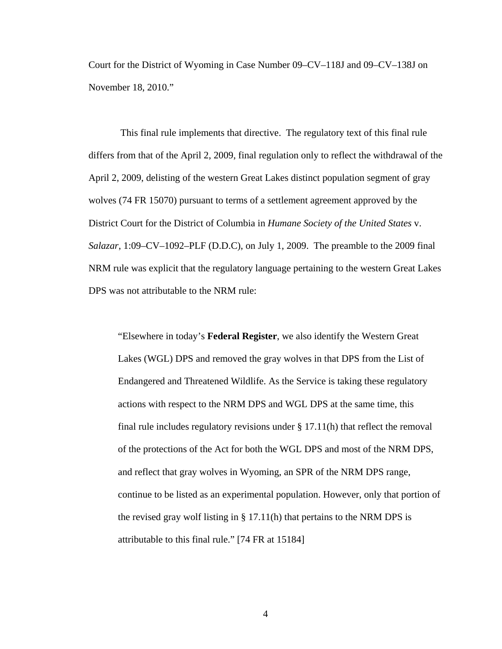Court for the District of Wyoming in Case Number 09–CV–118J and 09–CV–138J on November 18, 2010."

 This final rule implements that directive. The regulatory text of this final rule differs from that of the April 2, 2009, final regulation only to reflect the withdrawal of the April 2, 2009, delisting of the western Great Lakes distinct population segment of gray wolves (74 FR 15070) pursuant to terms of a settlement agreement approved by the District Court for the District of Columbia in *Humane Society of the United States* v. *Salazar*, 1:09–CV–1092–PLF (D.D.C), on July 1, 2009. The preamble to the 2009 final NRM rule was explicit that the regulatory language pertaining to the western Great Lakes DPS was not attributable to the NRM rule:

"Elsewhere in today's **Federal Register**, we also identify the Western Great Lakes (WGL) DPS and removed the gray wolves in that DPS from the List of Endangered and Threatened Wildlife. As the Service is taking these regulatory actions with respect to the NRM DPS and WGL DPS at the same time, this final rule includes regulatory revisions under  $\S 17.11(h)$  that reflect the removal of the protections of the Act for both the WGL DPS and most of the NRM DPS, and reflect that gray wolves in Wyoming, an SPR of the NRM DPS range, continue to be listed as an experimental population. However, only that portion of the revised gray wolf listing in § 17.11(h) that pertains to the NRM DPS is attributable to this final rule." [74 FR at 15184]

4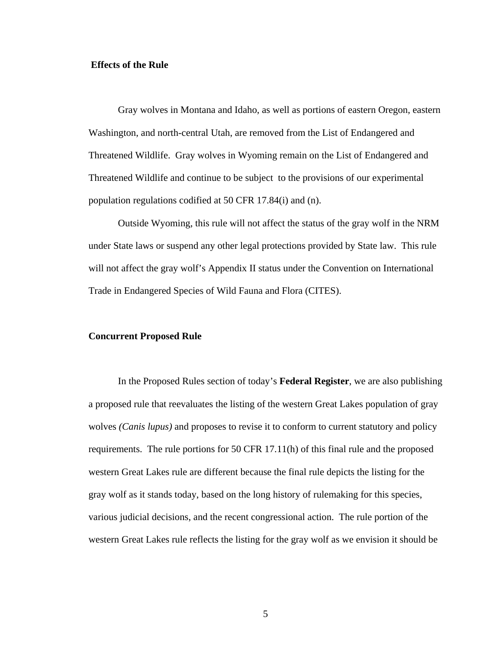## **Effects of the Rule**

Gray wolves in Montana and Idaho, as well as portions of eastern Oregon, eastern Washington, and north-central Utah, are removed from the List of Endangered and Threatened Wildlife. Gray wolves in Wyoming remain on the List of Endangered and Threatened Wildlife and continue to be subject to the provisions of our experimental population regulations codified at 50 CFR 17.84(i) and (n).

Outside Wyoming, this rule will not affect the status of the gray wolf in the NRM under State laws or suspend any other legal protections provided by State law. This rule will not affect the gray wolf's Appendix II status under the Convention on International Trade in Endangered Species of Wild Fauna and Flora (CITES).

## **Concurrent Proposed Rule**

In the Proposed Rules section of today's **Federal Register**, we are also publishing a proposed rule that reevaluates the listing of the western Great Lakes population of gray wolves *(Canis lupus)* and proposes to revise it to conform to current statutory and policy requirements. The rule portions for 50 CFR 17.11(h) of this final rule and the proposed western Great Lakes rule are different because the final rule depicts the listing for the gray wolf as it stands today, based on the long history of rulemaking for this species, various judicial decisions, and the recent congressional action. The rule portion of the western Great Lakes rule reflects the listing for the gray wolf as we envision it should be

5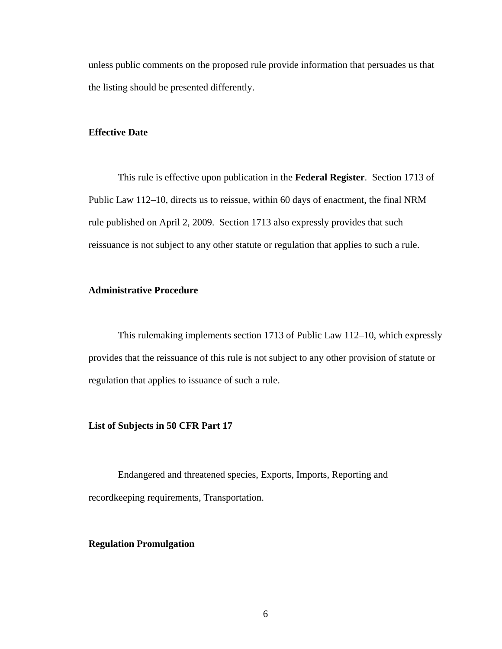unless public comments on the proposed rule provide information that persuades us that the listing should be presented differently.

#### **Effective Date**

This rule is effective upon publication in the **Federal Register**. Section 1713 of Public Law 112–10, directs us to reissue, within 60 days of enactment, the final NRM rule published on April 2, 2009. Section 1713 also expressly provides that such reissuance is not subject to any other statute or regulation that applies to such a rule.

## **Administrative Procedure**

This rulemaking implements section 1713 of Public Law 112–10, which expressly provides that the reissuance of this rule is not subject to any other provision of statute or regulation that applies to issuance of such a rule.

## **List of Subjects in 50 CFR Part 17**

 Endangered and threatened species, Exports, Imports, Reporting and recordkeeping requirements, Transportation.

### **Regulation Promulgation**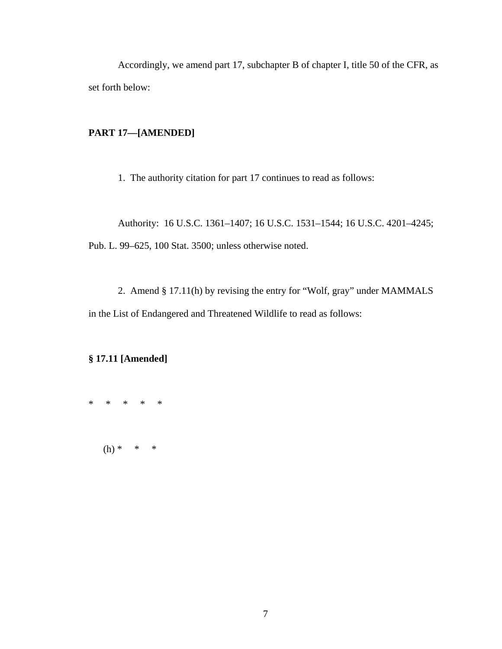Accordingly, we amend part 17, subchapter B of chapter I, title 50 of the CFR, as set forth below:

# **PART 17—[AMENDED]**

1. The authority citation for part 17 continues to read as follows:

Authority: 16 U.S.C. 1361–1407; 16 U.S.C. 1531–1544; 16 U.S.C. 4201–4245; Pub. L. 99–625, 100 Stat. 3500; unless otherwise noted.

2. Amend § 17.11(h) by revising the entry for "Wolf, gray" under MAMMALS in the List of Endangered and Threatened Wildlife to read as follows:

# **§ 17.11 [Amended]**

\* \* \* \* \*

 $(h) * * * * *$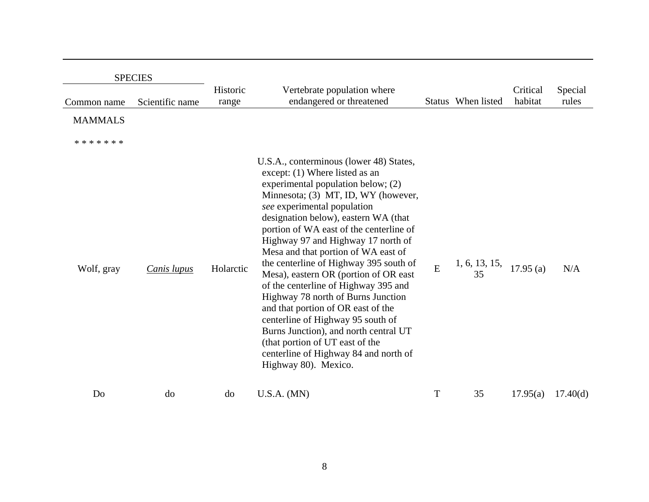| <b>SPECIES</b> |                 |                   |                                                                                                                                                                                                                                                                                                                                                                                                                                                                                                                                                                                                                                                                                                                                                |                |                         |                     |                  |
|----------------|-----------------|-------------------|------------------------------------------------------------------------------------------------------------------------------------------------------------------------------------------------------------------------------------------------------------------------------------------------------------------------------------------------------------------------------------------------------------------------------------------------------------------------------------------------------------------------------------------------------------------------------------------------------------------------------------------------------------------------------------------------------------------------------------------------|----------------|-------------------------|---------------------|------------------|
| Common name    | Scientific name | Historic<br>range | Vertebrate population where<br>endangered or threatened                                                                                                                                                                                                                                                                                                                                                                                                                                                                                                                                                                                                                                                                                        |                | Status When listed      | Critical<br>habitat | Special<br>rules |
| <b>MAMMALS</b> |                 |                   |                                                                                                                                                                                                                                                                                                                                                                                                                                                                                                                                                                                                                                                                                                                                                |                |                         |                     |                  |
| * * * * * * *  |                 |                   |                                                                                                                                                                                                                                                                                                                                                                                                                                                                                                                                                                                                                                                                                                                                                |                |                         |                     |                  |
| Wolf, gray     | Canis lupus     | Holarctic         | U.S.A., conterminous (lower 48) States,<br>except: (1) Where listed as an<br>experimental population below; (2)<br>Minnesota; (3) MT, ID, WY (however,<br>see experimental population<br>designation below), eastern WA (that<br>portion of WA east of the centerline of<br>Highway 97 and Highway 17 north of<br>Mesa and that portion of WA east of<br>the centerline of Highway 395 south of<br>Mesa), eastern OR (portion of OR east<br>of the centerline of Highway 395 and<br>Highway 78 north of Burns Junction<br>and that portion of OR east of the<br>centerline of Highway 95 south of<br>Burns Junction), and north central UT<br>(that portion of UT east of the<br>centerline of Highway 84 and north of<br>Highway 80). Mexico. | $\overline{E}$ | 1, 6, 13, 15, 17.95 (a) |                     | N/A              |
| Do             | do              | do                | U.S.A. (MN)                                                                                                                                                                                                                                                                                                                                                                                                                                                                                                                                                                                                                                                                                                                                    | T              | 35                      | 17.95(a)            | 17.40(d)         |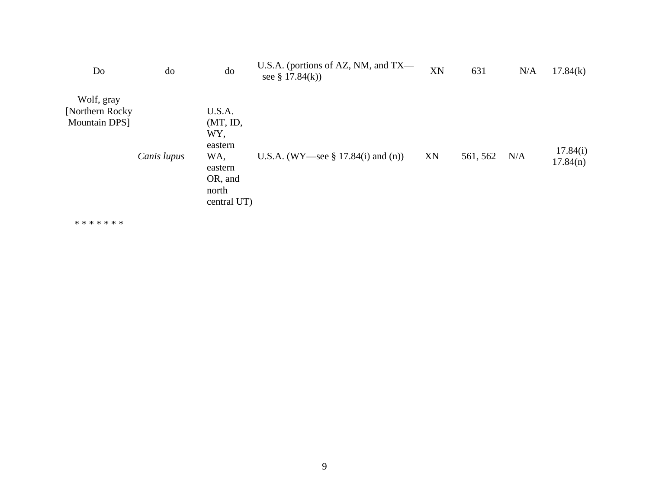| Do                                                    | do          | do                                                                                        | U.S.A. (portions of AZ, NM, and $TX$ —<br>see § $17.84(k)$ ) | XN | 631      | N/A | 17.84(k)             |
|-------------------------------------------------------|-------------|-------------------------------------------------------------------------------------------|--------------------------------------------------------------|----|----------|-----|----------------------|
| Wolf, gray<br>[Northern Rocky]<br><b>Mountain DPS</b> | Canis lupus | U.S.A.<br>(MT, ID,<br>WY,<br>eastern<br>WA,<br>eastern<br>OR, and<br>north<br>central UT) | U.S.A. (WY—see § 17.84(i) and (n))                           | XN | 561, 562 | N/A | 17.84(i)<br>17.84(n) |

\* \* \* \* \* \* \*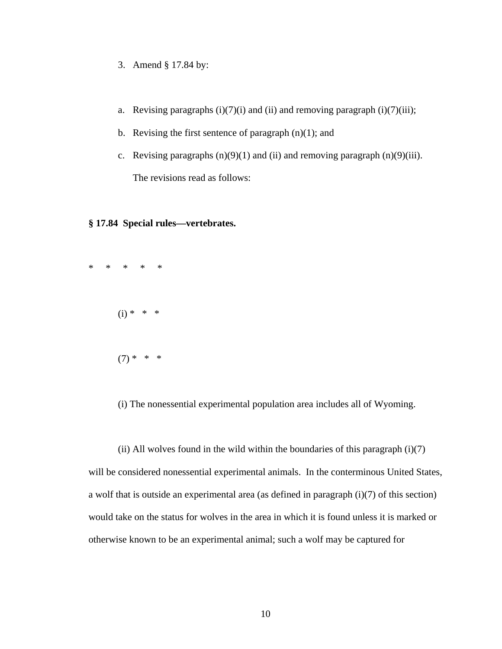- 3. Amend § 17.84 by:
- a. Revising paragraphs  $(i)(7)(i)$  and  $(ii)$  and removing paragraph  $(i)(7)(iii)$ ;
- b. Revising the first sentence of paragraph  $(n)(1)$ ; and
- c. Revising paragraphs  $(n)(9)(1)$  and  $(ii)$  and removing paragraph  $(n)(9)(iii)$ . The revisions read as follows:

## **§ 17.84 Special rules—vertebrates.**



(i) The nonessential experimental population area includes all of Wyoming.

(ii) All wolves found in the wild within the boundaries of this paragraph  $(i)(7)$ will be considered nonessential experimental animals. In the conterminous United States, a wolf that is outside an experimental area (as defined in paragraph (i)(7) of this section) would take on the status for wolves in the area in which it is found unless it is marked or otherwise known to be an experimental animal; such a wolf may be captured for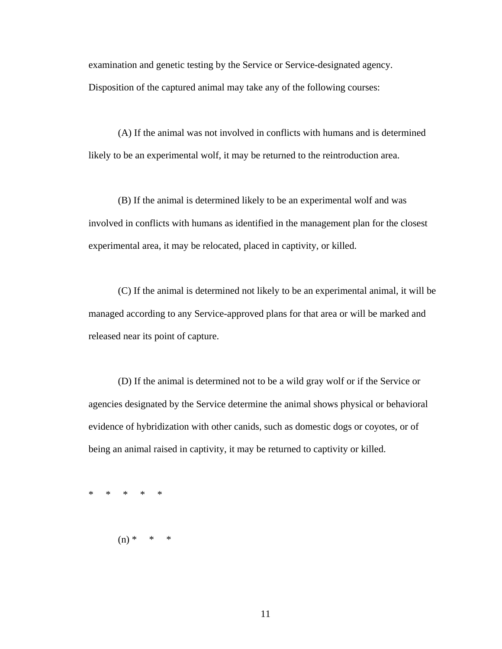examination and genetic testing by the Service or Service-designated agency.

Disposition of the captured animal may take any of the following courses:

(A) If the animal was not involved in conflicts with humans and is determined likely to be an experimental wolf, it may be returned to the reintroduction area.

(B) If the animal is determined likely to be an experimental wolf and was involved in conflicts with humans as identified in the management plan for the closest experimental area, it may be relocated, placed in captivity, or killed.

(C) If the animal is determined not likely to be an experimental animal, it will be managed according to any Service-approved plans for that area or will be marked and released near its point of capture.

(D) If the animal is determined not to be a wild gray wolf or if the Service or agencies designated by the Service determine the animal shows physical or behavioral evidence of hybridization with other canids, such as domestic dogs or coyotes, or of being an animal raised in captivity, it may be returned to captivity or killed.

\* \* \* \* \*

 $(n) * * * * *$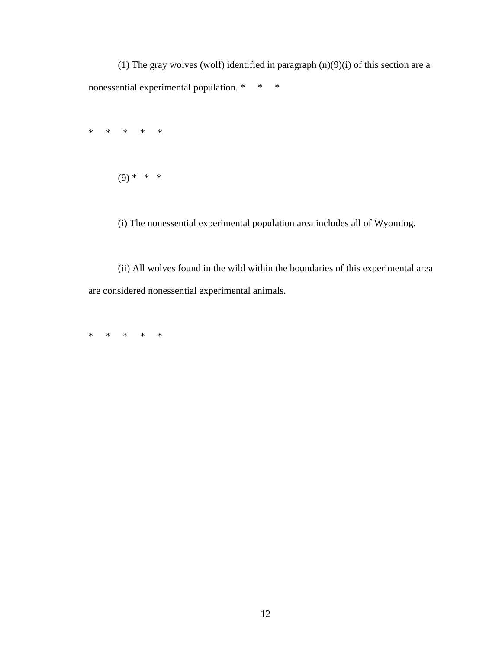(1) The gray wolves (wolf) identified in paragraph (n)(9)(i) of this section are a nonessential experimental population. \* \* \*

\* \* \* \* \*

 $(9) * * * *$ 

(i) The nonessential experimental population area includes all of Wyoming.

(ii) All wolves found in the wild within the boundaries of this experimental area are considered nonessential experimental animals.

\* \* \* \* \*